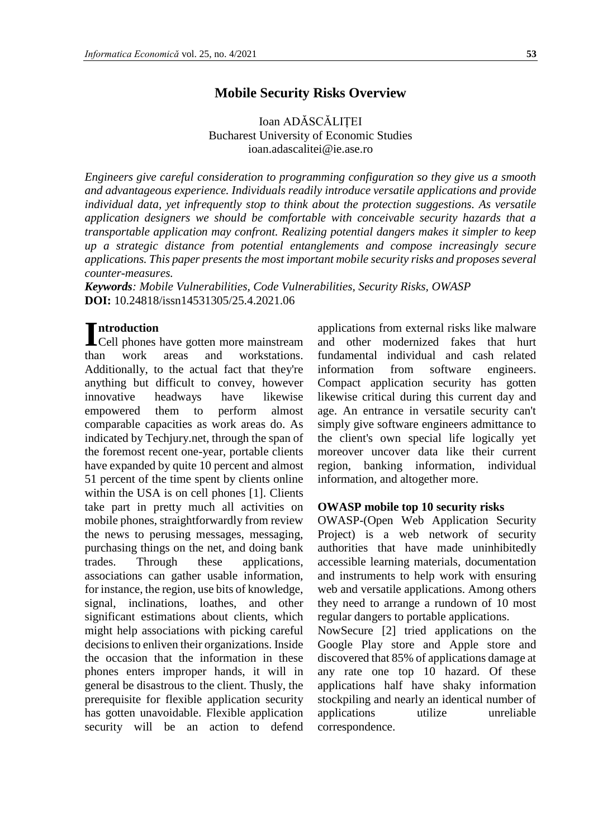#### **Mobile Security Risks Overview**

Ioan ADĂSCĂLIȚEI Bucharest University of Economic Studies ioan.adascalitei@ie.ase.ro

*Engineers give careful consideration to programming configuration so they give us a smooth and advantageous experience. Individuals readily introduce versatile applications and provide individual data, yet infrequently stop to think about the protection suggestions. As versatile application designers we should be comfortable with conceivable security hazards that a transportable application may confront. Realizing potential dangers makes it simpler to keep up a strategic distance from potential entanglements and compose increasingly secure applications. This paper presents the most important mobile security risks and proposes several counter-measures.*

*Keywords: Mobile Vulnerabilities, Code Vulnerabilities, Security Risks, OWASP* **DOI:** 10.24818/issn14531305/25.4.2021.06

#### **ntroduction**

Introduction<br>Cell phones have gotten more mainstream than work areas and workstations. Additionally, to the actual fact that they're anything but difficult to convey, however innovative headways have likewise empowered them to perform almost comparable capacities as work areas do. As indicated by Techjury.net, through the span of the foremost recent one-year, portable clients have expanded by quite 10 percent and almost 51 percent of the time spent by clients online within the USA is on cell phones [1]. Clients take part in pretty much all activities on mobile phones, straightforwardly from review the news to perusing messages, messaging, purchasing things on the net, and doing bank trades. Through these applications, associations can gather usable information, for instance, the region, use bits of knowledge, signal, inclinations, loathes, and other significant estimations about clients, which might help associations with picking careful decisions to enliven their organizations. Inside the occasion that the information in these phones enters improper hands, it will in general be disastrous to the client. Thusly, the prerequisite for flexible application security has gotten unavoidable. Flexible application security will be an action to defend

applications from external risks like malware and other modernized fakes that hurt fundamental individual and cash related information from software engineers. Compact application security has gotten likewise critical during this current day and age. An entrance in versatile security can't simply give software engineers admittance to the client's own special life logically yet moreover uncover data like their current region, banking information, individual information, and altogether more.

#### **OWASP mobile top 10 security risks**

OWASP-(Open Web Application Security Project) is a web network of security authorities that have made uninhibitedly accessible learning materials, documentation and instruments to help work with ensuring web and versatile applications. Among others they need to arrange a rundown of 10 most regular dangers to portable applications.

NowSecure [2] tried applications on the Google Play store and Apple store and discovered that 85% of applications damage at any rate one top 10 hazard. Of these applications half have shaky information stockpiling and nearly an identical number of applications utilize unreliable correspondence.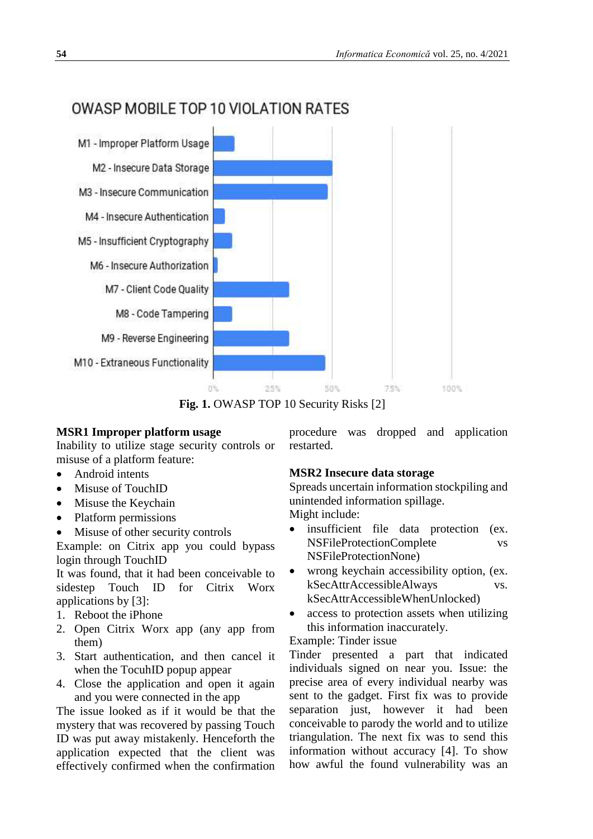

# OWASP MOBILE TOP 10 VIOLATION RATES

Fig. 1. OWASP TOP 10 Security Risks [2]

# **MSR1 Improper platform usage**

Inability to utilize stage security controls or misuse of a platform feature:

- Android intents
- Misuse of TouchID
- Misuse the Keychain
- Platform permissions
- Misuse of other security controls

Example: on Citrix app you could bypass login through TouchID

It was found, that it had been conceivable to sidestep Touch ID for Citrix Worx applications by [3]:

- 1. Reboot the iPhone
- 2. Open Citrix Worx app (any app from them)
- 3. Start authentication, and then cancel it when the TocuhID popup appear
- 4. Close the application and open it again and you were connected in the app

The issue looked as if it would be that the mystery that was recovered by passing Touch ID was put away mistakenly. Henceforth the application expected that the client was effectively confirmed when the confirmation procedure was dropped and application restarted.

# **MSR2 Insecure data storage**

Spreads uncertain information stockpiling and unintended information spillage.

Might include:

- insufficient file data protection (ex. NSFileProtectionComplete vs NSFileProtectionNone)
- wrong keychain accessibility option, (ex. kSecAttrAccessibleAlways vs. kSecAttrAccessibleWhenUnlocked)
- access to protection assets when utilizing this information inaccurately.

# Example: Tinder issue

Tinder presented a part that indicated individuals signed on near you. Issue: the precise area of every individual nearby was sent to the gadget. First fix was to provide separation just, however it had been conceivable to parody the world and to utilize triangulation. The next fix was to send this information without accuracy [4]. To show how awful the found vulnerability was an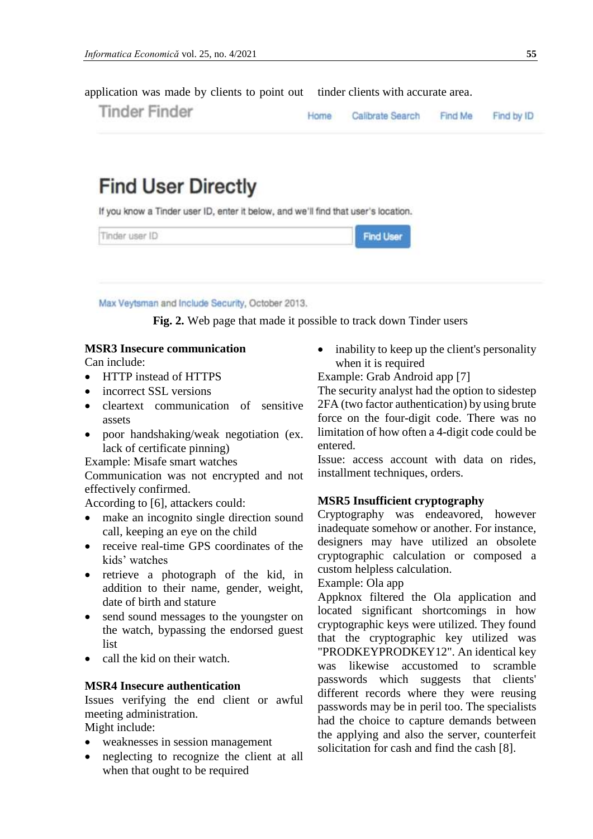**Tinder Finder** Home Calibrate Search Find Me Find by ID

application was made by clients to point out tinder clients with accurate area.

# **Find User Directly**

If you know a Tinder user ID, enter it below, and we'll find that user's location.

| Tinder user ID | Find Lisar |
|----------------|------------|
|                |            |

Max Veytsman and Include Security, October 2013.

**Fig. 2.** Web page that made it possible to track down Tinder users

# **MSR3 Insecure communication**

Can include:

- HTTP instead of HTTPS
- incorrect SSL versions
- cleartext communication of sensitive assets
- poor handshaking/weak negotiation (ex. lack of certificate pinning)

Example: Misafe smart watches

Communication was not encrypted and not effectively confirmed.

According to [6], attackers could:

- make an incognito single direction sound call, keeping an eye on the child
- receive real-time GPS coordinates of the kids' watches
- retrieve a photograph of the kid, in addition to their name, gender, weight, date of birth and stature
- send sound messages to the youngster on the watch, bypassing the endorsed guest list
- call the kid on their watch.

#### **MSR4 Insecure authentication**

Issues verifying the end client or awful meeting administration.

Might include:

- weaknesses in session management
- neglecting to recognize the client at all when that ought to be required

• inability to keep up the client's personality when it is required

Example: Grab Android app [7]

The security analyst had the option to sidestep 2FA (two factor authentication) by using brute force on the four-digit code. There was no limitation of how often a 4-digit code could be entered.

Issue: access account with data on rides, installment techniques, orders.

#### **MSR5 Insufficient cryptography**

Cryptography was endeavored, however inadequate somehow or another. For instance, designers may have utilized an obsolete cryptographic calculation or composed a custom helpless calculation.

#### Example: Ola app

Appknox filtered the Ola application and located significant shortcomings in how cryptographic keys were utilized. They found that the cryptographic key utilized was "PRODKEYPRODKEY12". An identical key was likewise accustomed to scramble passwords which suggests that clients' different records where they were reusing passwords may be in peril too. The specialists had the choice to capture demands between the applying and also the server, counterfeit solicitation for cash and find the cash [8].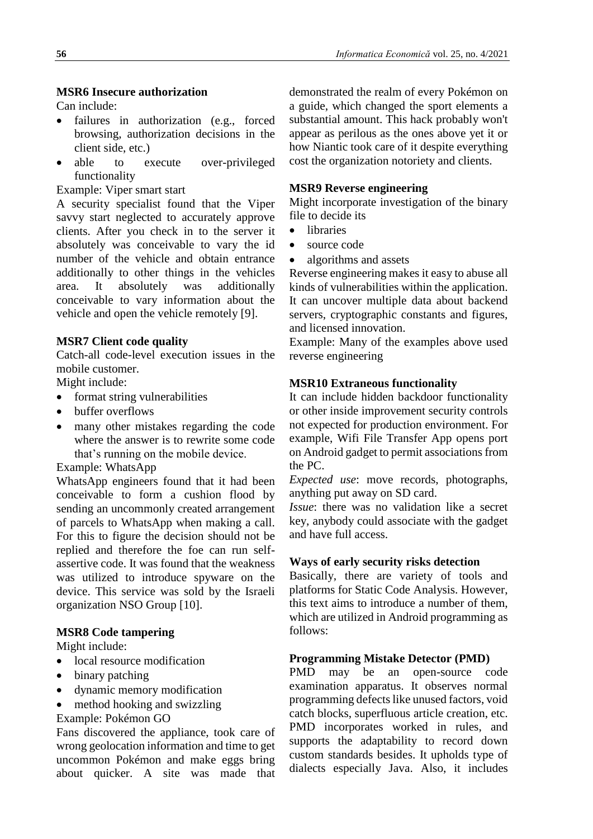Can include:

- failures in authorization (e.g., forced browsing, authorization decisions in the client side, etc.)
- able to execute over-privileged functionality

Example: Viper smart start

A security specialist found that the Viper savvy start neglected to accurately approve clients. After you check in to the server it absolutely was conceivable to vary the id number of the vehicle and obtain entrance additionally to other things in the vehicles area. It absolutely was additionally conceivable to vary information about the vehicle and open the vehicle remotely [9].

#### **MSR7 Client code quality**

Catch-all code-level execution issues in the mobile customer.

Might include:

- format string vulnerabilities
- buffer overflows
- many other mistakes regarding the code where the answer is to rewrite some code that's running on the mobile device.

#### Example: WhatsApp

WhatsApp engineers found that it had been conceivable to form a cushion flood by sending an uncommonly created arrangement of parcels to WhatsApp when making a call. For this to figure the decision should not be replied and therefore the foe can run selfassertive code. It was found that the weakness was utilized to introduce spyware on the device. This service was sold by the Israeli organization NSO Group [10].

#### **MSR8 Code tampering**

Might include:

- local resource modification
- binary patching
- dynamic memory modification
- method hooking and swizzling

Example: Pokémon GO

Fans discovered the appliance, took care of wrong geolocation information and time to get uncommon Pokémon and make eggs bring about quicker. A site was made that

demonstrated the realm of every Pokémon on a guide, which changed the sport elements a substantial amount. This hack probably won't appear as perilous as the ones above yet it or how Niantic took care of it despite everything cost the organization notoriety and clients.

### **MSR9 Reverse engineering**

Might incorporate investigation of the binary file to decide its

- libraries
- source code
- algorithms and assets

Reverse engineering makes it easy to abuse all kinds of vulnerabilities within the application. It can uncover multiple data about backend servers, cryptographic constants and figures, and licensed innovation.

Example: Many of the examples above used reverse engineering

#### **MSR10 Extraneous functionality**

It can include hidden backdoor functionality or other inside improvement security controls not expected for production environment. For example, Wifi File Transfer App opens port on Android gadget to permit associations from the PC.

*Expected use*: move records, photographs, anything put away on SD card.

*Issue*: there was no validation like a secret key, anybody could associate with the gadget and have full access.

#### **Ways of early security risks detection**

Basically, there are variety of tools and platforms for Static Code Analysis. However, this text aims to introduce a number of them, which are utilized in Android programming as follows:

# **Programming Mistake Detector (PMD)**

PMD may be an open-source code examination apparatus. It observes normal programming defects like unused factors, void catch blocks, superfluous article creation, etc. PMD incorporates worked in rules, and supports the adaptability to record down custom standards besides. It upholds type of dialects especially Java. Also, it includes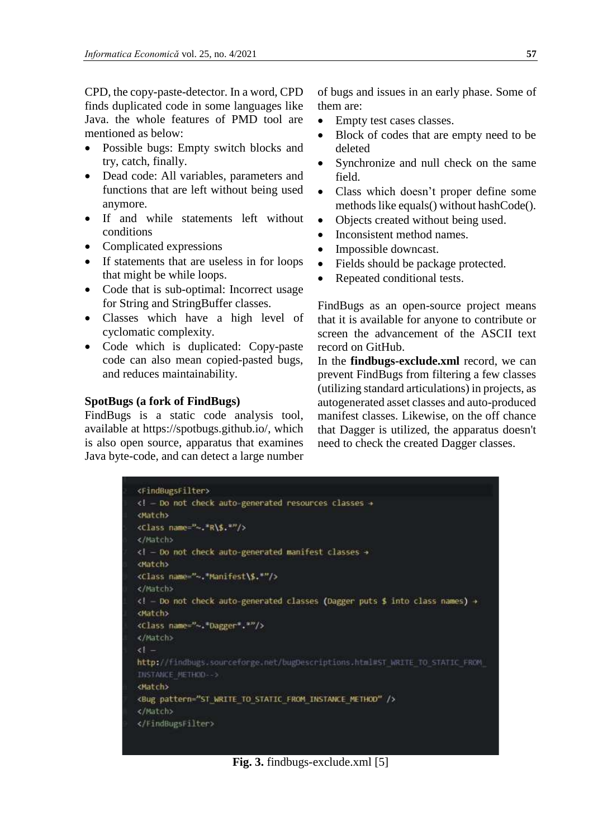CPD, the copy-paste-detector. In a word, CPD finds duplicated code in some languages like Java. the whole features of PMD tool are mentioned as below:

- Possible bugs: Empty switch blocks and try, catch, finally.
- Dead code: All variables, parameters and functions that are left without being used anymore.
- If and while statements left without conditions
- Complicated expressions
- If statements that are useless in for loops that might be while loops.
- Code that is sub-optimal: Incorrect usage for String and StringBuffer classes.
- Classes which have a high level of cyclomatic complexity.
- Code which is duplicated: Copy-paste code can also mean copied-pasted bugs, and reduces maintainability.

#### **SpotBugs (a fork of FindBugs)**

FindBugs is a static code analysis tool, available at https://spotbugs.github.io/, which is also open source, apparatus that examines Java byte-code, and can detect a large number of bugs and issues in an early phase. Some of them are:

- Empty test cases classes.
- Block of codes that are empty need to be deleted
- Synchronize and null check on the same field.
- Class which doesn't proper define some methods like equals() without hashCode().
- Objects created without being used.
- Inconsistent method names.
- Impossible downcast.
- Fields should be package protected.
- Repeated conditional tests.

FindBugs as an open-source project means that it is available for anyone to contribute or screen the advancement of the ASCII text record on GitHub.

In the **findbugs-exclude.xml** record, we can prevent FindBugs from filtering a few classes (utilizing standard articulations) in projects, as autogenerated asset classes and auto-produced manifest classes. Likewise, on the off chance that Dagger is utilized, the apparatus doesn't need to check the created Dagger classes.

```
<FindBugsFilter>
<1 - Do not check auto-generated resources classes +
Match
<Class name="-.*R\$.*"/>
</Match>
k! - Do not check auto-generated manifest classes →
<Match>
<Class name="~."Manifest\$.*"/>
</Match>
<! - Do not check auto-generated classes (Dagger puts $ into class names) +
<Match>
<Class name="~.*Dagger*.*"/>
</Match>
51 -http://findbugs.sourceforge.net/bugDescriptions.html#5T_WRITE_TO_STATIC_FROM_
INSTANCE METHOD-->
<Match>
<Bug pattern="ST WRITE TO STATIC FROM INSTANCE METHOD" />
</Match>
</FindBugsFilter>
```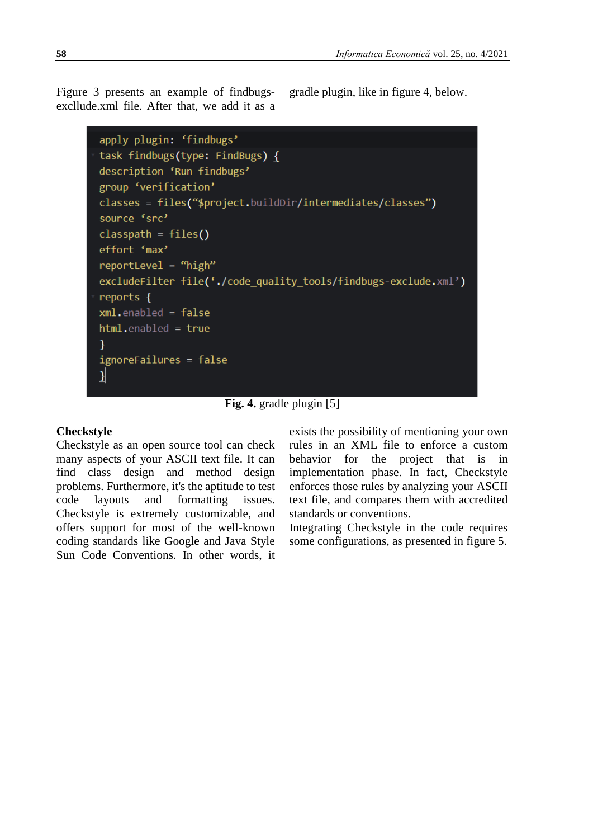Figure 3 presents an example of findbugsexcllude.xml file. After that, we add it as a gradle plugin, like in figure 4, below.

```
apply plugin: 'findbugs'
task findbugs(type: FindBugs) {
description 'Run findbugs'
group 'verification'
classes = files("$project.buildDir/intermediates/classes")
source 'src'
\text{classpath} = \text{files}()effort 'max'
reportLevel = "high"
excludeFilter file('./code quality tools/findbugs-exclude.xml')
reports {
xml. enabled = falsehtml.enabled = true
Y
ignoreFailures = false
}
```
**Fig. 4.** gradle plugin [5]

# **Checkstyle**

Checkstyle as an open source tool can check many aspects of your ASCII text file. It can find class design and method design problems. Furthermore, it's the aptitude to test code layouts and formatting issues. Checkstyle is extremely customizable, and offers support for most of the well-known coding standards like Google and Java Style Sun Code Conventions. In other words, it exists the possibility of mentioning your own rules in an XML file to enforce a custom behavior for the project that is in implementation phase. In fact, Checkstyle enforces those rules by analyzing your ASCII text file, and compares them with accredited standards or conventions.

Integrating Checkstyle in the code requires some configurations, as presented in figure 5.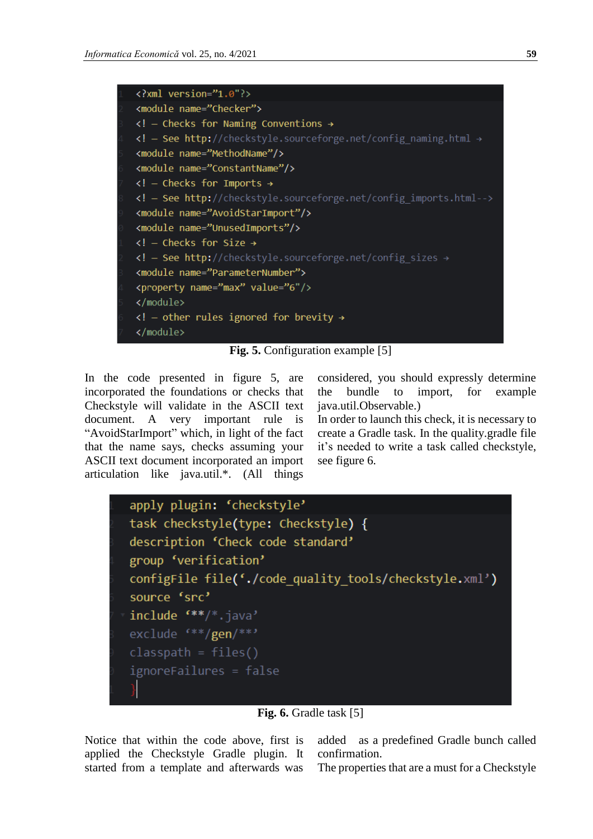

**Fig. 5.** Configuration example [5]

In the code presented in figure 5, are incorporated the foundations or checks that Checkstyle will validate in the ASCII text document. A very important rule is "AvoidStarImport" which, in light of the fact that the name says, checks assuming your ASCII text document incorporated an import articulation like java.util.\*. (All things

considered, you should expressly determine the bundle to import, for example java.util.Observable.)

In order to launch this check, it is necessary to create a Gradle task. In the quality.gradle file it's needed to write a task called checkstyle, see figure 6.



**Fig. 6.** Gradle task [5]

Notice that within the code above, first is applied the Checkstyle Gradle plugin. It started from a template and afterwards was

added as a predefined Gradle bunch called confirmation.

The properties that are a must for a Checkstyle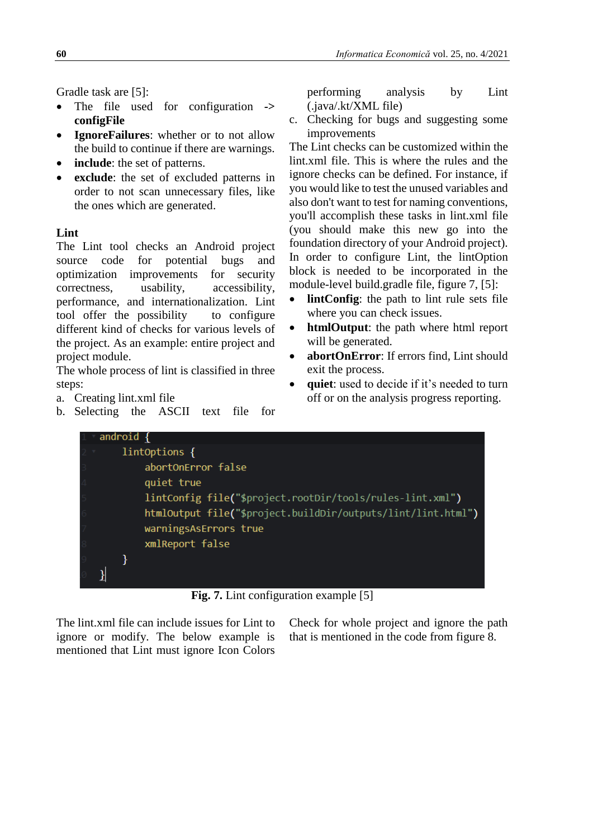Gradle task are [5]:

- The file used for configuration **-> configFile**
- **IgnoreFailures**: whether or to not allow the build to continue if there are warnings.
- **include**: the set of patterns.
- **exclude**: the set of excluded patterns in order to not scan unnecessary files, like the ones which are generated.

# **Lint**

The Lint tool checks an Android project source code for potential bugs and optimization improvements for security correctness, usability, accessibility, performance, and internationalization. Lint tool offer the possibility to configure different kind of checks for various levels of the project. As an example: entire project and project module.

The whole process of lint is classified in three steps:

- a. Creating lint.xml file
- b. Selecting the ASCII text file for

performing analysis by Lint (.java/.kt/XML file)

c. Checking for bugs and suggesting some improvements

The Lint checks can be customized within the lint.xml file. This is where the rules and the ignore checks can be defined. For instance, if you would like to test the unused variables and also don't want to test for naming conventions, you'll accomplish these tasks in lint.xml file (you should make this new go into the foundation directory of your Android project). In order to configure Lint, the lintOption block is needed to be incorporated in the module-level build.gradle file, figure 7, [5]:

- **lintConfig**: the path to lint rule sets file where you can check issues.
- **htmlOutput**: the path where html report will be generated.
- **abortOnError**: If errors find, Lint should exit the process.
- quiet: used to decide if it's needed to turn off or on the analysis progress reporting.



**Fig. 7.** Lint configuration example [5]

The lint.xml file can include issues for Lint to ignore or modify. The below example is mentioned that Lint must ignore Icon Colors Check for whole project and ignore the path that is mentioned in the code from figure 8.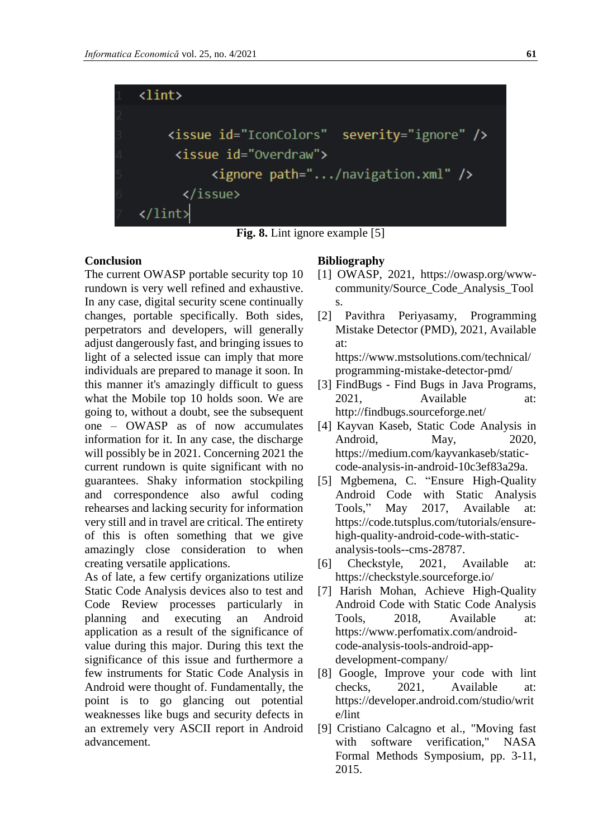

**Fig. 8.** Lint ignore example [5]

#### **Conclusion**

The current OWASP portable security top 10 rundown is very well refined and exhaustive. In any case, digital security scene continually changes, portable specifically. Both sides, perpetrators and developers, will generally adjust dangerously fast, and bringing issues to light of a selected issue can imply that more individuals are prepared to manage it soon. In this manner it's amazingly difficult to guess what the Mobile top 10 holds soon. We are going to, without a doubt, see the subsequent one – OWASP as of now accumulates information for it. In any case, the discharge will possibly be in 2021. Concerning 2021 the current rundown is quite significant with no guarantees. Shaky information stockpiling and correspondence also awful coding rehearses and lacking security for information very still and in travel are critical. The entirety of this is often something that we give amazingly close consideration to when creating versatile applications.

As of late, a few certify organizations utilize Static Code Analysis devices also to test and Code Review processes particularly in planning and executing an Android application as a result of the significance of value during this major. During this text the significance of this issue and furthermore a few instruments for Static Code Analysis in Android were thought of. Fundamentally, the point is to go glancing out potential weaknesses like bugs and security defects in an extremely very ASCII report in Android advancement.

#### **Bibliography**

- [1] OWASP, 2021, https://owasp.org/wwwcommunity/Source\_Code\_Analysis\_Tool s.
- [2] Pavithra Periyasamy, Programming Mistake Detector (PMD), 2021, Available at: https://www.mstsolutions.com/technical/ programming-mistake-detector-pmd/
- [3] FindBugs Find Bugs in Java Programs, 2021, Available at: http://findbugs.sourceforge.net/
- [4] Kayvan Kaseb, Static Code Analysis in Android, May, 2020, https://medium.com/kayvankaseb/staticcode-analysis-in-android-10c3ef83a29a.
- [5] Mgbemena, C. "Ensure High-Quality Android Code with Static Analysis Tools," May 2017, Available at: https://code.tutsplus.com/tutorials/ensurehigh-quality-android-code-with-staticanalysis-tools--cms-28787.
- [6] Checkstyle, 2021, Available at: https://checkstyle.sourceforge.io/
- [7] Harish Mohan, Achieve High-Quality Android Code with Static Code Analysis Tools, 2018, Available at: https://www.perfomatix.com/androidcode-analysis-tools-android-appdevelopment-company/
- [8] Google, Improve your code with lint checks, 2021, Available at: https://developer.android.com/studio/writ e/lint
- [9] Cristiano Calcagno et al., "Moving fast with software verification," NASA Formal Methods Symposium, pp. 3-11, 2015.